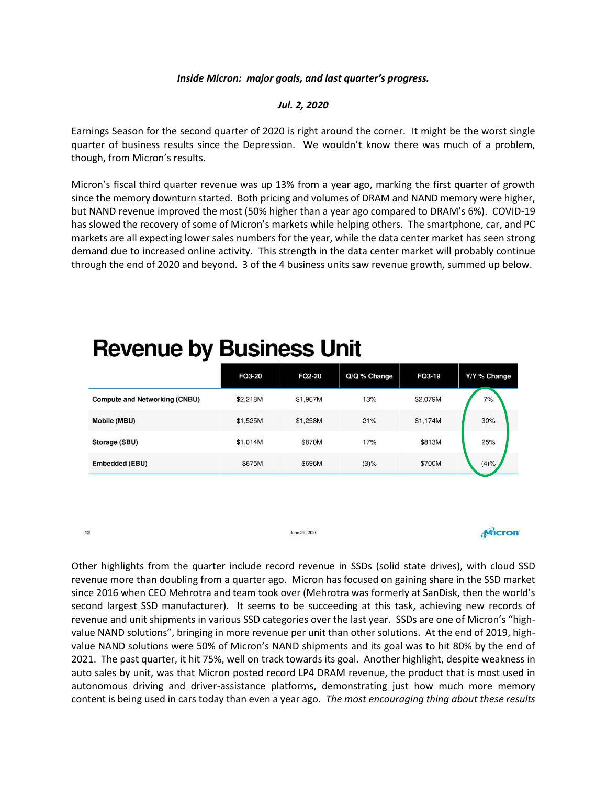## *Inside Micron: major goals, and last quarter's progress.*

## *Jul. 2, 2020*

Earnings Season for the second quarter of 2020 is right around the corner. It might be the worst single quarter of business results since the Depression. We wouldn't know there was much of a problem, though, from Micron's results.

Micron's fiscal third quarter revenue was up 13% from a year ago, marking the first quarter of growth since the memory downturn started. Both pricing and volumes of DRAM and NAND memory were higher, but NAND revenue improved the most (50% higher than a year ago compared to DRAM's 6%). COVID-19 has slowed the recovery of some of Micron's markets while helping others. The smartphone, car, and PC markets are all expecting lower sales numbers for the year, while the data center market has seen strong demand due to increased online activity. This strength in the data center market will probably continue through the end of 2020 and beyond. 3 of the 4 business units saw revenue growth, summed up below.

| -                                    | <b>FQ3-20</b> | <b>FQ2-20</b> | $Q/Q \%$ Change | FQ3-19   | Y/Y % Change |
|--------------------------------------|---------------|---------------|-----------------|----------|--------------|
| <b>Compute and Networking (CNBU)</b> | \$2,218M      | \$1,967M      | 13%             | \$2,079M | 7%           |
| Mobile (MBU)                         | \$1,525M      | \$1,258M      | 21%             | \$1,174M | 30%          |
| Storage (SBU)                        | \$1,014M      | \$870M        | 17%             | \$813M   | 25%          |
| Embedded (EBU)                       | \$675M        | \$696M        | $(3)\%$         | \$700M   | (4)%         |

## **Revenue by Business Unit**

 $12$ 

Other highlights from the quarter include record revenue in SSDs (solid state drives), with cloud SSD revenue more than doubling from a quarter ago. Micron has focused on gaining share in the SSD market since 2016 when CEO Mehrotra and team took over (Mehrotra was formerly at SanDisk, then the world's second largest SSD manufacturer). It seems to be succeeding at this task, achieving new records of revenue and unit shipments in various SSD categories over the last year. SSDs are one of Micron's "highvalue NAND solutions", bringing in more revenue per unit than other solutions. At the end of 2019, highvalue NAND solutions were 50% of Micron's NAND shipments and its goal was to hit 80% by the end of 2021. The past quarter, it hit 75%, well on track towards its goal. Another highlight, despite weakness in auto sales by unit, was that Micron posted record LP4 DRAM revenue, the product that is most used in autonomous driving and driver-assistance platforms, demonstrating just how much more memory content is being used in cars today than even a year ago. *The most encouraging thing about these results* 

June 29, 2020

**Micron**